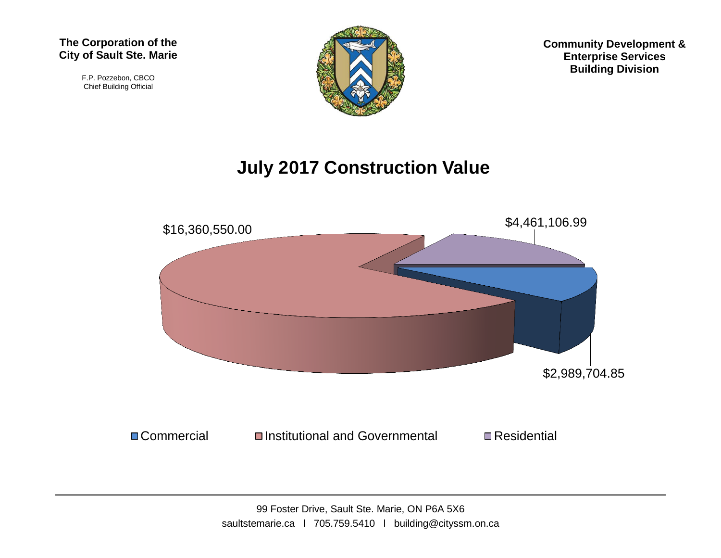F.P. Pozzebon, CBCO Chief Building Official



**Community Development & Enterprise Services Building Division**

## **July 2017 Construction Value**

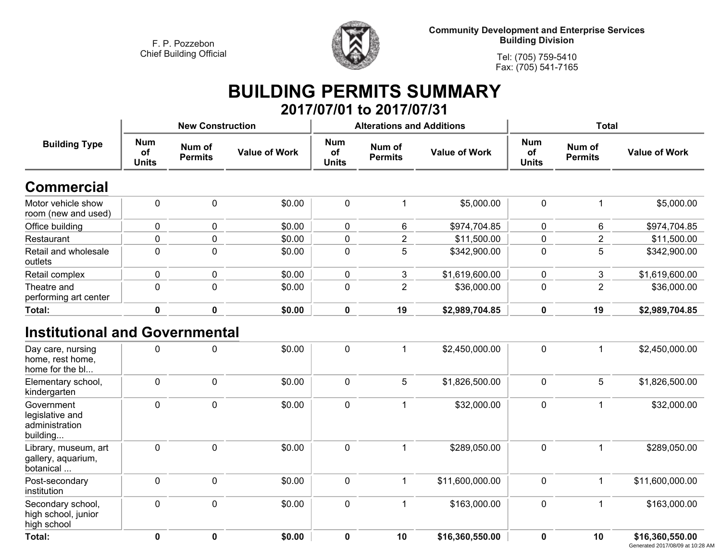$\mathbf{r}$ 

**<sup>0</sup>**



**Community Development and Enterprise Services Building Division**

**Tel: (705) 759-5410Fax: (705) 541-7165**

### **BUILDING PERMITS SUMMARY 2017/07/01 to 2017/07/31**

| <b>Building Type</b>                                        |                                  | <b>New Construction</b>  |                      |                                  | <b>Alterations and Additions</b> |                      | Total                            |                          |                      |
|-------------------------------------------------------------|----------------------------------|--------------------------|----------------------|----------------------------------|----------------------------------|----------------------|----------------------------------|--------------------------|----------------------|
|                                                             | <b>Num</b><br>of<br><b>Units</b> | Num of<br><b>Permits</b> | <b>Value of Work</b> | <b>Num</b><br>of<br><b>Units</b> | Num of<br><b>Permits</b>         | <b>Value of Work</b> | <b>Num</b><br>of<br><b>Units</b> | Num of<br><b>Permits</b> | <b>Value of Work</b> |
| <b>Commercial</b>                                           |                                  |                          |                      |                                  |                                  |                      |                                  |                          |                      |
| Motor vehicle show<br>room (new and used)                   | 0                                | 0                        | \$0.00               | $\pmb{0}$                        | 1                                | \$5,000.00           | $\mathbf 0$                      | $\mathbf 1$              | \$5,000.00           |
| Office building                                             | 0                                | 0                        | \$0.00               | 0                                | 6                                | \$974,704.85         | 0                                | 6                        | \$974,704.85         |
| Restaurant                                                  | $\pmb{0}$                        | $\mathbf 0$              | \$0.00               | $\pmb{0}$                        | $\overline{2}$                   | \$11,500.00          | $\mathbf 0$                      | $\overline{2}$           | \$11,500.00          |
| Retail and wholesale<br>outlets                             | $\mathbf 0$                      | 0                        | \$0.00               | $\mathbf 0$                      | 5                                | \$342,900.00         | 0                                | 5                        | \$342,900.00         |
| Retail complex                                              | $\mathbf 0$                      | 0                        | \$0.00               | 0                                | 3                                | \$1,619,600.00       | 0                                | 3                        | \$1,619,600.00       |
| Theatre and<br>performing art center                        | 0                                | 0                        | \$0.00               | $\mathbf 0$                      | $\overline{2}$                   | \$36,000.00          | 0                                | $\overline{2}$           | \$36,000.00          |
| <b>Total:</b>                                               | $\mathbf 0$                      | $\mathbf 0$              | \$0.00               | $\mathbf 0$                      | 19                               | \$2,989,704.85       | $\mathbf 0$                      | 19                       | \$2,989,704.85       |
| <b>Institutional and Governmental</b><br>Day care, nursing  | $\mathbf{0}$                     | 0                        | \$0.00               | $\mathbf 0$                      | $\mathbf{1}$                     | \$2,450,000.00       | $\mathbf 0$                      | $\mathbf{1}$             | \$2,450,000.00       |
| home, rest home,<br>home for the bl                         |                                  |                          |                      |                                  |                                  |                      |                                  |                          |                      |
| Elementary school,<br>kindergarten                          | $\mathbf 0$                      | 0                        | \$0.00               | $\mathbf 0$                      | 5                                | \$1,826,500.00       | $\pmb{0}$                        | $5\phantom{.0}$          | \$1,826,500.00       |
| Government<br>legislative and<br>administration<br>building | $\mathbf 0$                      | 0                        | \$0.00               | $\mathbf 0$                      | $\mathbf 1$                      | \$32,000.00          | $\mathbf 0$                      | $\mathbf{1}$             | \$32,000.00          |
| Library, museum, art<br>gallery, aquarium,<br>botanical     | $\mathbf 0$                      | 0                        | \$0.00               | $\mathbf 0$                      | 1                                | \$289,050.00         | $\mathbf 0$                      | $\mathbf 1$              | \$289,050.00         |
| Post-secondary<br>institution                               | $\mathbf 0$                      | 0                        | \$0.00               | $\mathbf 0$                      | 1                                | \$11,600,000.00      | $\pmb{0}$                        | $\mathbf{1}$             | \$11,600,000.00      |
| Secondary school,<br>high school, junior<br>high school     | $\mathbf 0$                      | 0                        | \$0.00               | $\mathbf 0$                      | 1                                | \$163,000.00         | $\mathbf 0$                      | $\mathbf{1}$             | \$163,000.00         |
| Total:                                                      | 0                                | $\mathbf{0}$             | \$0.00               | $\mathbf{0}$                     | 10                               | \$16,360,550.00      | $\mathbf{0}$                     | 10                       | \$16,360,550.00      |

 **<sup>0</sup> \$0.00 <sup>0</sup> <sup>10</sup> \$16,360,550.00 <sup>0</sup> <sup>10</sup> \$16,360,550.00** Generated 2017/08/09 at 10:28 AM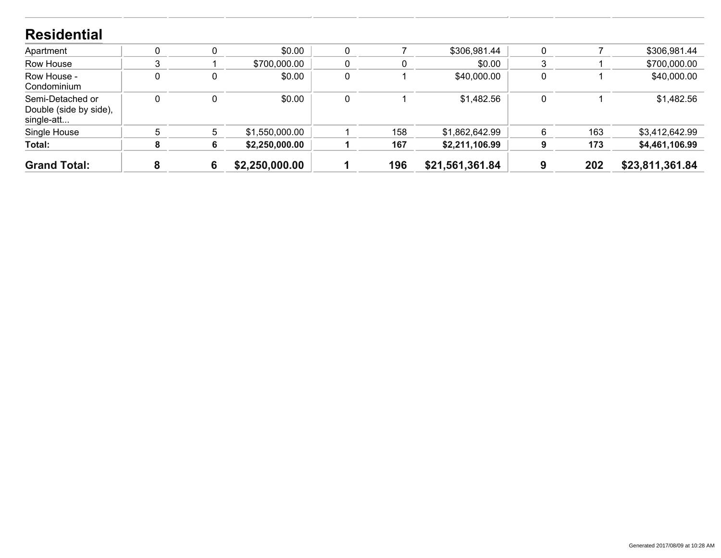#### **ResidentialApartment 0 <sup>0</sup> \$0.00 <sup>0</sup> <sup>7</sup> \$306,981.44 <sup>0</sup> <sup>7</sup> \$306,981.44 Row House <sup>3</sup> <sup>1</sup> \$700,000.00 <sup>0</sup> <sup>0</sup> \$0.00 <sup>3</sup> <sup>1</sup> \$700,000.00 Row House - Condominium <sup>0</sup> <sup>0</sup> \$0.00 <sup>0</sup> <sup>1</sup> \$40,000.00 <sup>0</sup> <sup>1</sup> \$40,000.00 Semi-Detached or Double (side by side), single-att...**Single Hou **0 <sup>0</sup> \$0.00 <sup>0</sup> <sup>1</sup> \$1,482.56 <sup>0</sup> <sup>1</sup> \$1,482.56 House <sup>5</sup> <sup>5</sup> \$1,550,000.00 <sup>1</sup> <sup>158</sup> \$1,862,642.99 <sup>6</sup> <sup>163</sup> \$3,412,642.99 Total: <sup>8</sup> <sup>6</sup> \$2,250,000.00 <sup>1</sup> <sup>167</sup> \$2,211,106.99 <sup>9</sup> <sup>173</sup> \$4,461,106.99 Grand Total: Total: <sup>8</sup> <sup>6</sup> \$2,250,000.00 <sup>1</sup> <sup>196</sup> \$21,561,361.84 <sup>9</sup> <sup>202</sup> \$23,811,361.84**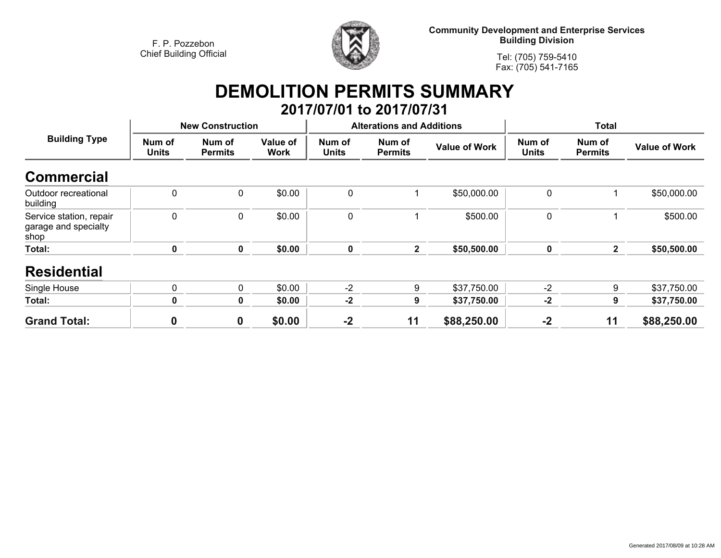

**Community Development and Enterprise Services Building Division**

**Tel: (705) 759-5410Fax: (705) 541-7165**

# **DEMOLITION PERMITS SUMMARY**

|                                                         |                        |                          |                         |                        | 2017/07/01 to 2017/07/31         |                      |                        |                          |                      |
|---------------------------------------------------------|------------------------|--------------------------|-------------------------|------------------------|----------------------------------|----------------------|------------------------|--------------------------|----------------------|
| <b>Building Type</b>                                    |                        | <b>New Construction</b>  |                         |                        | <b>Alterations and Additions</b> |                      | <b>Total</b>           |                          |                      |
|                                                         | Num of<br><b>Units</b> | Num of<br><b>Permits</b> | Value of<br><b>Work</b> | Num of<br><b>Units</b> | Num of<br><b>Permits</b>         | <b>Value of Work</b> | Num of<br><b>Units</b> | Num of<br><b>Permits</b> | <b>Value of Work</b> |
| <b>Commercial</b>                                       |                        |                          |                         |                        |                                  |                      |                        |                          |                      |
| Outdoor recreational<br>building                        | $\mathbf 0$            | $\mathbf 0$              | \$0.00                  | 0                      |                                  | \$50,000.00          | $\mathbf 0$            |                          | \$50,000.00          |
| Service station, repair<br>garage and specialty<br>shop | $\mathbf 0$            | $\mathbf 0$              | \$0.00                  | 0                      |                                  | \$500.00             | $\mathbf 0$            |                          | \$500.00             |
| Total:                                                  | $\mathbf 0$            | 0                        | \$0.00                  | $\mathbf 0$            | $\overline{2}$                   | \$50,500.00          | $\mathbf 0$            | $\mathbf{2}$             | \$50,500.00          |
| <b>Residential</b>                                      |                        |                          |                         |                        |                                  |                      |                        |                          |                      |
| Single House                                            | 0                      | 0                        | \$0.00                  | $-2$                   | 9                                | \$37,750.00          | $-2$                   | 9                        | \$37,750.00          |
| Total:                                                  | $\mathbf 0$            | $\mathbf 0$              | \$0.00                  | $-2$                   | 9                                | \$37,750.00          | $-2$                   | 9                        | \$37,750.00          |
| <b>Grand Total:</b>                                     | 0                      | $\mathbf 0$              | \$0.00                  | $-2$                   | 11                               | \$88,250.00          | $-2$                   | 11                       | \$88,250.00          |